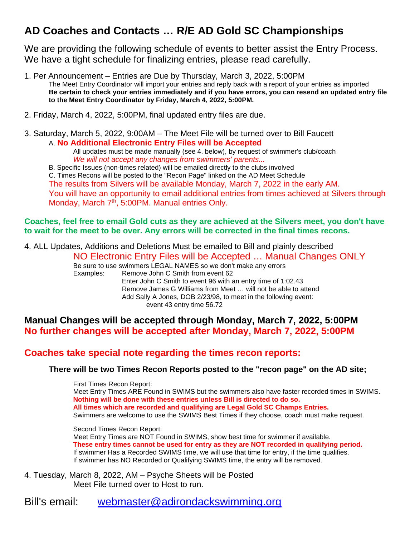# **AD Coaches and Contacts … R/E AD Gold SC Championships**

We are providing the following schedule of events to better assist the Entry Process. We have a tight schedule for finalizing entries, please read carefully.

1. Per Announcement – Entries are Due by Thursday, March 3, 2022, 5:00PM The Meet Entry Coordinator will import your entries and reply back with a report of your entries as imported **Be certain to check your entries immediately and if you have errors, you can resend an updated entry file to the Meet Entry Coordinator by Friday, March 4, 2022, 5:00PM.**

2. Friday, March 4, 2022, 5:00PM, final updated entry files are due.

3. Saturday, March 5, 2022, 9:00AM – The Meet File will be turned over to Bill Faucett A. **No Additional Electronic Entry Files will be Accepted**

All updates must be made manually (see 4. below), by request of swimmer's club/coach *We will not accept any changes from swimmers' parents...* 

B. Specific Issues (non-times related) will be emailed directly to the clubs involved

C. Times Recons will be posted to the "Recon Page" linked on the AD Meet Schedule

The results from Silvers will be available Monday, March 7, 2022 in the early AM.

You will have an opportunity to email additional entries from times achieved at Silvers through Monday, March 7<sup>th</sup>, 5:00PM. Manual entries Only.

### **Coaches, feel free to email Gold cuts as they are achieved at the Silvers meet, you don't have to wait for the meet to be over. Any errors will be corrected in the final times recons.**

4. ALL Updates, Additions and Deletions Must be emailed to Bill and plainly described

NO Electronic Entry Files will be Accepted … Manual Changes ONLY

Be sure to use swimmers LEGAL NAMES so we don't make any errors Examples: Remove John C Smith from event 62 Enter John C Smith to event 96 with an entry time of 1:02.43 Remove James G Williams from Meet … will not be able to attend Add Sally A Jones, DOB 2/23/98, to meet in the following event: event 43 entry time 56.72

# **Manual Changes will be accepted through Monday, March 7, 2022, 5:00PM No further changes will be accepted after Monday, March 7, 2022, 5:00PM**

# **Coaches take special note regarding the times recon reports:**

### **There will be two Times Recon Reports posted to the "recon page" on the AD site;**

First Times Recon Report: Meet Entry Times ARE Found in SWIMS but the swimmers also have faster recorded times in SWIMS. **Nothing will be done with these entries unless Bill is directed to do so. All times which are recorded and qualifying are Legal Gold SC Champs Entries.** Swimmers are welcome to use the SWIMS Best Times if they choose, coach must make request.

Second Times Recon Report:

Meet Entry Times are NOT Found in SWIMS, show best time for swimmer if available. **These entry times cannot be used for entry as they are NOT recorded in qualifying period.** If swimmer Has a Recorded SWIMS time, we will use that time for entry, if the time qualifies. If swimmer has NO Recorded or Qualifying SWIMS time, the entry will be removed.

4. Tuesday, March 8, 2022, AM – Psyche Sheets will be Posted Meet File turned over to Host to run.

Bill's email: [webmaster@adirondackswimming.org](mailto:webmaster@adirondackswimming.org)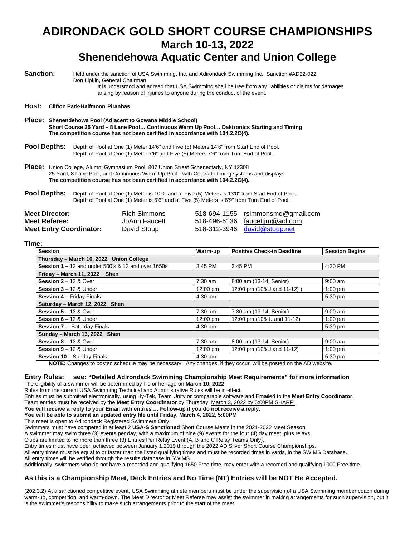# **ADIRONDACK GOLD SHORT COURSE CHAMPIONSHIPS March 10-13, 2022 Shenendehowa Aquatic Center and Union College**

**Sanction:** Held under the sanction of USA Swimming, Inc. and Adirondack Swimming Inc., Sanction #AD22-022 Don Lipkin, General Chairman It is understood and agreed that USA Swimming shall be free from any liabilities or claims for damages

arising by reason of injuries to anyone during the conduct of the event.

#### **Host: Clifton Park-Halfmoon Piranhas**

**Place: Shenendehowa Pool (Adjacent to Gowana Middle School) Short Course 25 Yard – 8 Lane Pool… Continuous Warm Up Pool… Daktronics Starting and Timing The competition course has not been certified in accordance with 104.2.2C(4).**

**Pool Depths:** Depth of Pool at One (1) Meter 14'6" and Five (5) Meters 14'6" from Start End of Pool. Depth of Pool at One (1) Meter 7'6" and Five (5) Meters 7'6" from Turn End of Pool.

**Place:** Union College, Alumni Gymnasium Pool, 807 Union Street Schenectady, NY 12308 25 Yard, 8 Lane Pool, and Continuous Warm Up Pool - with Colorado timing systems and displays. **The competition course has not been certified in accordance with 104.2.2C(4).**

**Pool Depths:** Depth of Pool at One (1) Meter is 10'0" and at Five (5) Meters is 13'0" from Start End of Pool. Depth of Pool at One (1) Meter is 6'6" and at Five (5) Meters is 6'9" from Turn End of Pool.

| <b>Meet Director:</b>          | Rich Simmons  | 518-694-1155 rsimmonsmd@gmail.com |
|--------------------------------|---------------|-----------------------------------|
| Meet Referee:                  | JoAnn Faucett | 518-496-6136 faucettim@aol.com    |
| <b>Meet Entry Coordinator:</b> | David Stoup   | $518-312-3946$ david@stoup.net    |

**Time:**

| <b>Session</b>                                                | Warm-up   | <b>Positive Check-in Deadline</b> | <b>Session Begins</b> |  |  |  |
|---------------------------------------------------------------|-----------|-----------------------------------|-----------------------|--|--|--|
| Thursday - March 10, 2022 Union College                       |           |                                   |                       |  |  |  |
| <b>Session 1 – 12 and under 500's &amp; 13 and over 1650s</b> | 3:45 PM   | 3:45 PM                           | 4:30 PM               |  |  |  |
| Friday - March 11, 2022 Shen                                  |           |                                   |                       |  |  |  |
| Session $2 - 13$ & Over                                       | $7:30$ am | 8:00 am (13-14, Senior)           | $9:00$ am             |  |  |  |
| <b>Session 3</b> – 12 & Under                                 | 12:00 pm  | 12:00 pm (10&U and 11-12))        | $1:00$ pm             |  |  |  |
| <b>Session 4 - Friday Finals</b>                              | $4:30$ pm |                                   | 5:30 pm               |  |  |  |
| Saturday - March 12, 2022 Shen                                |           |                                   |                       |  |  |  |
| Session $5 - 13$ & Over                                       | $7:30$ am | 7:30 am (13-14, Senior)           | $9:00$ am             |  |  |  |
| Session $6 - 12$ & Under                                      | 12:00 pm  | 12:00 pm (10& U and 11-12)        | $1:00$ pm             |  |  |  |
| <b>Session 7 - Saturday Finals</b>                            | $4:30$ pm |                                   | 5:30 pm               |  |  |  |
| Sunday - March 13, 2022 Shen                                  |           |                                   |                       |  |  |  |
| <b>Session 8 – 13 &amp; Over</b>                              | $7:30$ am | 8:00 am (13-14, Senior)           | $9:00$ am             |  |  |  |
| Session $9 - 12$ & Under                                      | 12:00 pm  | 12:00 pm (10&U and 11-12)         | $1:00$ pm             |  |  |  |
| <b>Session 10 - Sunday Finals</b>                             | $4:30$ pm |                                   | 5:30 pm               |  |  |  |

**NOTE:** Changes to posted schedule may be necessary. Any changes, if they occur, will be posted on the AD website.

#### **Entry Rules: see: "Detailed Adirondack Swimming Championship Meet Requirements" for more information** The eligibility of a swimmer will be determined by his or her age on **March 10, 2022**

Rules from the current USA Swimming Technical and Administrative Rules will be in effect.

Entries must be submitted electronically, using Hy-Tek, Team Unify or comparable software and Emailed to the **Meet Entry Coordinator**.

Team entries must be received by the **Meet Entry Coordinator** by Thursday, March 3, 2022 by 5:00PM SHARP!.

**You will receive a reply to your Email with entries … Follow-up if you do not receive a reply.**

**You will be able to submit an updated entry file until Friday, March 4, 2022, 5:00PM**

This meet is open to Adirondack Registered Swimmers Only.

Swimmers must have competed in at least 2 **USA-S Sanctioned** Short Course Meets in the 2021-2022 Meet Season.

A swimmer may swim three (3) events per day, with a maximum of nine (9) events for the four (4) day meet, plus relays.

Clubs are limited to no more than three (3) Entries Per Relay Event (A, B and C Relay Teams Only).

Entry times must have been achieved between January 1,2019 through the 2022 AD Silver Short Course Championships.

All entry times must be equal to or faster than the listed qualifying times and must be recorded times in yards, in the SWIMS Database.

All entry times will be verified through the results database in SWIMS.

Additionally, swimmers who do not have a recorded and qualifying 1650 Free time, may enter with a recorded and qualifying 1000 Free time.

#### **As this is a Championship Meet, Deck Entries and No Time (NT) Entries will be NOT Be Accepted.**

(202.3.2) At a sanctioned competitive event, USA Swimming athlete members must be under the supervision of a USA Swimming member coach during warm-up, competition, and warm-down. The Meet Director or Meet Referee may assist the swimmer in making arrangements for such supervision, but it is the swimmer's responsibility to make such arrangements prior to the start of the meet.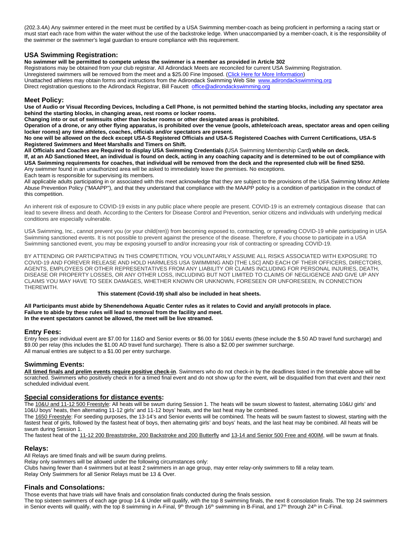(202.3.4A) Any swimmer entered in the meet must be certified by a USA Swimming member-coach as being proficient in performing a racing start or must start each race from within the water without the use of the backstroke ledge. When unaccompanied by a member-coach, it is the responsibility of the swimmer or the swimmer's legal guardian to ensure compliance with this requirement.

#### **USA Swimming Registration:**

**No swimmer will be permitted to compete unless the swimmer is a member as provided in Article 302**

Registrations may be obtained from your club registrar. All Adirondack Meets are reconciled for current USA Swimming Registration. Unregistered swimmers will be removed from the meet and a \$25.00 Fine Imposed. (Click Here for More Information) Unattached athletes may obtain forms and instructions from the Adirondack Swimming Web Site [www.adirondackswimming.org](http://www.adirondackswimming.org/) Direct registration questions to the Adirondack Registrar, Bill Faucett [office@adirondackswimming.org](mailto:office@adirondackswimming.org)

#### **Meet Policy:**

**Use of Audio or Visual Recording Devices, Including a Cell Phone, is not permitted behind the starting blocks, including any spectator area behind the starting blocks, in changing areas, rest rooms or locker rooms.**

**Changing into or out of swimsuits other than locker rooms or other designated areas is prohibited.** 

**Operation of a drone, or any other flying apparatus, is prohibited over the venue (pools, athlete/coach areas, spectator areas and open ceiling locker rooms) any time athletes, coaches, officials and/or spectators are present.**

**No one will be allowed on the deck except USA-S Registered Officials and USA-S Registered Coaches with Current Certifications, USA-S Registered Swimmers and Meet Marshalls and Timers on Shift.**

**All Officials and Coaches are Required to display USA Swimming Credentials (**USA Swimming Membership Card**) while on deck. If, at an AD Sanctioned Meet, an individual is found on deck, acting in any coaching capacity and is determined to be out of compliance with USA Swimming requirements for coaches, that individual will be removed from the deck and the represented club will be fined \$250.** Any swimmer found in an unauthorized area will be asked to immediately leave the premises. No exceptions. Each team is responsible for supervising its members.

All applicable adults participating in or associated with this meet acknowledge that they are subject to the provisions of the USA Swimming Minor Athlete Abuse Prevention Policy ("MAAPP"), and that they understand that compliance with the MAAPP policy is a condition of participation in the conduct of this competition.

An inherent risk of exposure to COVID-19 exists in any public place where people are present. COVID-19 is an extremely contagious disease that can lead to severe illness and death. According to the Centers for Disease Control and Prevention, senior citizens and individuals with underlying medical conditions are especially vulnerable.

USA Swimming, Inc., cannot prevent you (or your child(ren)) from becoming exposed to, contracting, or spreading COVID-19 while participating in USA Swimming sanctioned events. It is not possible to prevent against the presence of the disease. Therefore, if you choose to participate in a USA Swimming sanctioned event, you may be exposing yourself to and/or increasing your risk of contracting or spreading COVID-19.

BY ATTENDING OR PARTICIPATING IN THIS COMPETITION, YOU VOLUNTARILY ASSUME ALL RISKS ASSOCIATED WITH EXPOSURE TO COVID-19 AND FOREVER RELEASE AND HOLD HARMLESS USA SWIMMING AND [THE LSC] AND EACH OF THEIR OFFICERS, DIRECTORS, AGENTS, EMPLOYEES OR OTHER REPRESENTATIVES FROM ANY LIABILITY OR CLAIMS INCLUDING FOR PERSONAL INJURIES, DEATH, DISEASE OR PROPERTY LOSSES, OR ANY OTHER LOSS, INCLUDING BUT NOT LIMITED TO CLAIMS OF NEGLIGENCE AND GIVE UP ANY CLAIMS YOU MAY HAVE TO SEEK DAMAGES, WHETHER KNOWN OR UNKNOWN, FORESEEN OR UNFORESEEN, IN CONNECTION THEREWITH.

#### **This statement (Covid-19) shall also be included in heat sheets.**

**All Participants must abide by Shenendehowa Aquatic Center rules as it relates to Covid and any/all protocols in place. Failure to abide by these rules will lead to removal from the facility and meet. In the event spectators cannot be allowed, the meet will be live streamed.**

#### **Entry Fees:**

Entry fees per individual event are \$7.00 for 11&O and Senior events or \$6.00 for 10&U events (these include the \$.50 AD travel fund surcharge) and \$9.00 per relay (this includes the \$1.00 AD travel fund surcharge). There is also a \$2.00 per swimmer surcharge. All manual entries are subject to a \$1.00 per entry surcharge.

#### **Swimming Events:**

**All timed finals and prelim events require positive check-in**. Swimmers who do not check-in by the deadlines listed in the timetable above will be scratched. Swimmers who positively check in for a timed final event and do not show up for the event, will be disqualified from that event and their next scheduled individual event.

#### **Special considerations for distance events:**

The 10&U and 11-12 500 Freestyle: All heats will be swum during Session 1. The heats will be swum slowest to fastest, alternating 10&U girls' and 10&U boys' heats, then alternating 11-12 girls' and 11-12 boys' heats, and the last heat may be combined.

The 1650 Freestyle: For seeding purposes, the 13-14's and Senior events will be combined. The heats will be swum fastest to slowest, starting with the fastest heat of girls, followed by the fastest heat of boys, then alternating girls' and boys' heats, and the last heat may be combined. All heats will be swum during Session 1.

The fastest heat of the 11-12 200 Breaststroke, 200 Backstroke and 200 Butterfly and 13-14 and Senior 500 Free and 400IM, will be swum at finals.

#### **Relays:**

All Relays are timed finals and will be swum during prelims.

Relay only swimmers will be allowed under the following circumstances only:

Clubs having fewer than 4 swimmers but at least 2 swimmers in an age group, may enter relay-only swimmers to fill a relay team.

Relay Only Swimmers for all Senior Relays must be 13 & Over.

#### **Finals and Consolations:**

Those events that have trials will have finals and consolation finals conducted during the finals session.

The top sixteen swimmers of each age group 14 & Under will qualify, with the top 8 swimming finals, the next 8 consolation finals. The top 24 swimmers in Senior events will qualify, with the top 8 swimming in A-Final,  $9<sup>th</sup>$  through 16<sup>th</sup> swimming in B-Final, and 17<sup>th</sup> through 24<sup>th</sup> in C-Final.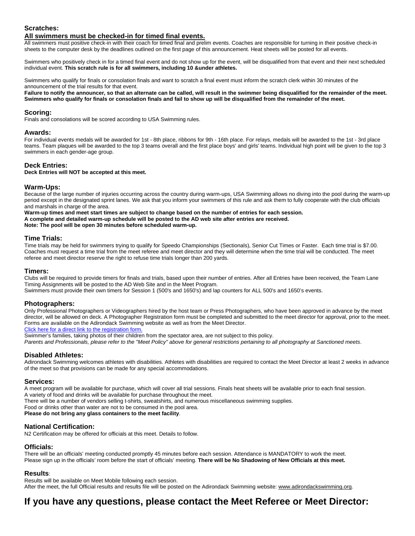#### **Scratches:**

#### **All swimmers must be checked-in for timed final events.**

All swimmers must positive check-in with their coach for timed final and prelim events. Coaches are responsible for turning in their positive check-in sheets to the computer desk by the deadlines outlined on the first page of this announcement. Heat sheets will be posted for all events.

Swimmers who positively check in for a timed final event and do not show up for the event, will be disqualified from that event and their next scheduled individual event. **This scratch rule is for all swimmers, including 10 &under athletes.**

Swimmers who qualify for finals or consolation finals and want to scratch a final event must inform the scratch clerk within 30 minutes of the announcement of the trial results for that event.

**Failure to notify the announcer, so that an alternate can be called, will result in the swimmer being disqualified for the remainder of the meet. Swimmers who qualify for finals or consolation finals and fail to show up will be disqualified from the remainder of the meet.**

#### **Scoring:**

Finals and consolations will be scored according to USA Swimming rules.

#### **Awards:**

For individual events medals will be awarded for 1st - 8th place, ribbons for 9th - 16th place. For relays, medals will be awarded to the 1st - 3rd place teams. Team plaques will be awarded to the top 3 teams overall and the first place boys' and girls' teams. Individual high point will be given to the top 3 swimmers in each gender-age group.

#### **Deck Entries:**

#### **Deck Entries will NOT be accepted at this meet.**

#### **Warm-Ups:**

Because of the large number of injuries occurring across the country during warm-ups, USA Swimming allows no diving into the pool during the warm-up period except in the designated sprint lanes. We ask that you inform your swimmers of this rule and ask them to fully cooperate with the club officials and marshals in charge of the area.

**Warm-up times and meet start times are subject to change based on the number of entries for each session.**

**A complete and detailed warm-up schedule will be posted to the AD web site after entries are received.**

**Note: The pool will be open 30 minutes before scheduled warm-up.**

#### **Time Trials:**

Time trials may be held for swimmers trying to qualify for Speedo Championships (Sectionals), Senior Cut Times or Faster. Each time trial is \$7.00. Coaches must request a time trial from the meet referee and meet director and they will determine when the time trial will be conducted. The meet referee and meet director reserve the right to refuse time trials longer than 200 yards.

#### **Timers:**

Clubs will be required to provide timers for finals and trials, based upon their number of entries. After all Entries have been received, the Team Lane Timing Assignments will be posted to the AD Web Site and in the Meet Program.

Swimmers must provide their own timers for Session 1 (500's and 1650's) and lap counters for ALL 500's and 1650's events.

#### **Photographers:**

Only Professional Photographers or Videographers hired by the host team or Press Photographers, who have been approved in advance by the meet director, will be allowed on deck. A Photographer Registration form must be completed and submitted to the meet director for approval, prior to the meet. Forms are available on the Adirondack Swimming website as well as from the Meet Director.

Click here for a direct link to the registration form.

Swimmer's families, taking photos of their children from the spectator area, are not subject to this policy.

*Parents and Professionals, please refer to the "Meet Policy" above for general restrictions pertaining to all photography at Sanctioned meets*.

#### **Disabled Athletes:**

Adirondack Swimming welcomes athletes with disabilities. Athletes with disabilities are required to contact the Meet Director at least 2 weeks in advance of the meet so that provisions can be made for any special accommodations.

#### **Services:**

A meet program will be available for purchase, which will cover all trial sessions. Finals heat sheets will be available prior to each final session. A variety of food and drinks will be available for purchase throughout the meet.

There will be a number of vendors selling t-shirts, sweatshirts, and numerous miscellaneous swimming supplies.

Food or drinks other than water are not to be consumed in the pool area.

**Please do not bring any glass containers to the meet facility**.

#### **National Certification:**

N2 Certification may be offered for officials at this meet. Details to follow.

#### **Officials:**

There will be an officials' meeting conducted promptly 45 minutes before each session. Attendance is MANDATORY to work the meet. Please sign up in the officials' room before the start of officials' meeting. **There will be No Shadowing of New Officials at this meet.**

#### **Results**:

Results will be available on Meet Mobile following each session. After the meet, the full Official results and results file will be posted on the Adirondack Swimming website: [www.adirondackswimming.org.](http://www.adirondackswimming.org/)

# **If you have any questions, please contact the Meet Referee or Meet Director:**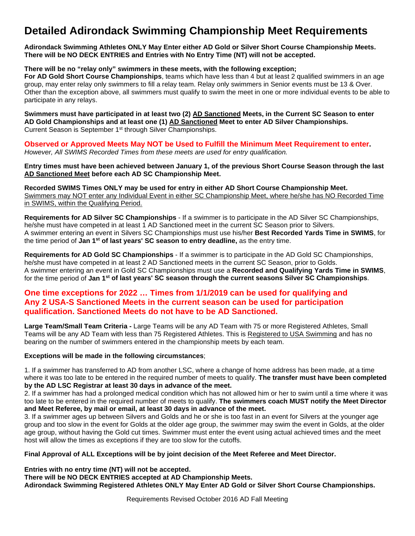# **Detailed Adirondack Swimming Championship Meet Requirements**

**Adirondack Swimming Athletes ONLY May Enter either AD Gold or Silver Short Course Championship Meets. There will be NO DECK ENTRIES and Entries with No Entry Time (NT) will not be accepted.**

**There will be no "relay only" swimmers in these meets, with the following exception;**

**For AD Gold Short Course Championships**, teams which have less than 4 but at least 2 qualified swimmers in an age group, may enter relay only swimmers to fill a relay team. Relay only swimmers in Senior events must be 13 & Over. Other than the exception above, all swimmers must qualify to swim the meet in one or more individual events to be able to participate in any relays.

**Swimmers must have participated in at least two (2) AD Sanctioned Meets, in the Current SC Season to enter AD Gold Championships and at least one (1) AD Sanctioned Meet to enter AD Silver Championships.** Current Season is September 1<sup>st</sup> through Silver Championships.

**Observed or Approved Meets May NOT be Used to Fulfill the Minimum Meet Requirement to enter.** *However, All SWIMS Recorded Times from these meets are used for entry qualification.*

**Entry times must have been achieved between January 1, of the previous Short Course Season through the last AD Sanctioned Meet before each AD SC Championship Meet.**

**Recorded SWIMS Times ONLY may be used for entry in either AD Short Course Championship Meet.** Swimmers may NOT enter any Individual Event in either SC Championship Meet, where he/she has NO Recorded Time in SWIMS, within the Qualifying Period.

**Requirements for AD Silver SC Championships** - If a swimmer is to participate in the AD Silver SC Championships, he/she must have competed in at least 1 AD Sanctioned meet in the current SC Season prior to Silvers. A swimmer entering an event in Silvers SC Championships must use his/her **Best Recorded Yards Time in SWIMS**, for the time period of **Jan 1st of last years' SC season to entry deadline,** as the entry time.

**Requirements for AD Gold SC Championships** - If a swimmer is to participate in the AD Gold SC Championships, he/she must have competed in at least 2 AD Sanctioned meets in the current SC Season, prior to Golds. A swimmer entering an event in Gold SC Championships must use a **Recorded and Qualifying Yards Time in SWIMS**, for the time period of **Jan 1st of last years' SC season through the current seasons Silver SC Championships**.

### **One time exceptions for 2022 … Times from 1/1/2019 can be used for qualifying and Any 2 USA-S Sanctioned Meets in the current season can be used for participation qualification. Sanctioned Meets do not have to be AD Sanctioned.**

**Large Team/Small Team Criteria -** Large Teams will be any AD Team with 75 or more Registered Athletes, Small Teams will be any AD Team with less than 75 Registered Athletes. This is Registered to USA Swimming and has no bearing on the number of swimmers entered in the championship meets by each team.

#### **Exceptions will be made in the following circumstances**;

1. If a swimmer has transferred to AD from another LSC, where a change of home address has been made, at a time where it was too late to be entered in the required number of meets to qualify. **The transfer must have been completed by the AD LSC Registrar at least 30 days in advance of the meet.**

2. If a swimmer has had a prolonged medical condition which has not allowed him or her to swim until a time where it was too late to be entered in the required number of meets to qualify. **The swimmers coach MUST notify the Meet Director and Meet Referee, by mail or email, at least 30 days in advance of the meet.**

3. If a swimmer ages up between Silvers and Golds and he or she is too fast in an event for Silvers at the younger age group and too slow in the event for Golds at the older age group, the swimmer may swim the event in Golds, at the older age group, without having the Gold cut times. Swimmer must enter the event using actual achieved times and the meet host will allow the times as exceptions if they are too slow for the cutoffs.

#### **Final Approval of ALL Exceptions will be by joint decision of the Meet Referee and Meet Director.**

**Entries with no entry time (NT) will not be accepted.**

**There will be NO DECK ENTRIES accepted at AD Championship Meets.**

**Adirondack Swimming Registered Athletes ONLY May Enter AD Gold or Silver Short Course Championships.**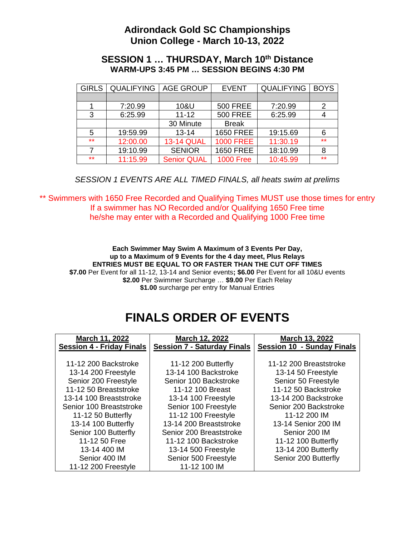# **Adirondack Gold SC Championships Union College - March 10-13, 2022**

### **SESSION 1 ... THURSDAY, March 10th Distance WARM-UPS 3:45 PM … SESSION BEGINS 4:30 PM**

| <b>GIRLS</b> | <b>QUALIFYING</b> | <b>AGE GROUP</b>   | <b>EVENT</b>     | <b>QUALIFYING</b> | <b>BOYS</b> |
|--------------|-------------------|--------------------|------------------|-------------------|-------------|
|              |                   |                    |                  |                   |             |
|              | 7:20.99           | 10&U               | <b>500 FREE</b>  | 7:20.99           | 2           |
| 3            | 6:25.99           | $11 - 12$          | <b>500 FREE</b>  | 6:25.99           |             |
|              |                   | 30 Minute          | <b>Break</b>     |                   |             |
| 5            | 19:59.99          | $13 - 14$          | <b>1650 FREE</b> | 19:15.69          | 6           |
| $***$        | 12:00.00          | <b>13-14 QUAL</b>  | <b>1000 FREE</b> | 11:30.19          | $***$       |
|              | 19:10.99          | <b>SENIOR</b>      | <b>1650 FREE</b> | 18:10.99          | 8           |
| $***$        | 11:15.99          | <b>Senior QUAL</b> | <b>1000 Free</b> | 10:45.99          | $***$       |

### *SESSION 1 EVENTS ARE ALL TIMED FINALS, all heats swim at prelims*

\*\* Swimmers with 1650 Free Recorded and Qualifying Times MUST use those times for entry If a swimmer has NO Recorded and/or Qualifying 1650 Free time he/she may enter with a Recorded and Qualifying 1000 Free time

**Each Swimmer May Swim A Maximum of 3 Events Per Day, up to a Maximum of 9 Events for the 4 day meet, Plus Relays ENTRIES MUST BE EQUAL TO OR FASTER THAN THE CUT OFF TIMES \$7.00** Per Event for all 11-12, 13-14 and Senior events**; \$6.00** Per Event for all 10&U events **\$2.00** Per Swimmer Surcharge … **\$9.00** Per Each Relay **\$1.00** surcharge per entry for Manual Entries

# **FINALS ORDER OF EVENTS**

| March 11, 2022                   | March 12, 2022                     | March 13, 2022                    |
|----------------------------------|------------------------------------|-----------------------------------|
| <b>Session 4 - Friday Finals</b> | <b>Session 7 - Saturday Finals</b> | <b>Session 10 - Sunday Finals</b> |
|                                  |                                    |                                   |
| 11-12 200 Backstroke             | 11-12 200 Butterfly                | 11-12 200 Breaststroke            |
| 13-14 200 Freestyle              | 13-14 100 Backstroke               | 13-14 50 Freestyle                |
| Senior 200 Freestyle             | Senior 100 Backstroke              | Senior 50 Freestyle               |
| 11-12 50 Breaststroke            | 11-12 100 Breast                   | 11-12 50 Backstroke               |
| 13-14 100 Breaststroke           | 13-14 100 Freestyle                | 13-14 200 Backstroke              |
| Senior 100 Breaststroke          | Senior 100 Freestyle               | Senior 200 Backstroke             |
| 11-12 50 Butterfly               | 11-12 100 Freestyle                | 11-12 200 IM                      |
| 13-14 100 Butterfly              | 13-14 200 Breaststroke             | 13-14 Senior 200 IM               |
| Senior 100 Butterfly             | Senior 200 Breaststroke            | Senior 200 IM                     |
| 11-12 50 Free                    | 11-12 100 Backstroke               | 11-12 100 Butterfly               |
| 13-14 400 IM                     | 13-14 500 Freestyle                | 13-14 200 Butterfly               |
| Senior 400 IM                    | Senior 500 Freestyle               | Senior 200 Butterfly              |
| 11-12 200 Freestyle              | 11-12 100 IM                       |                                   |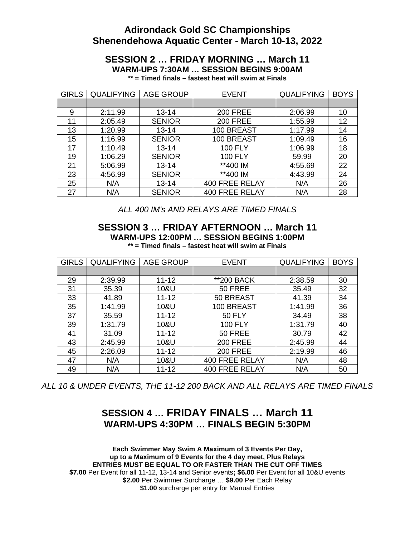# **Adirondack Gold SC Championships Shenendehowa Aquatic Center - March 10-13, 2022**

# **SESSION 2 … FRIDAY MORNING … March 11 WARM-UPS 7:30AM … SESSION BEGINS 9:00AM**

**\*\* = Timed finals – fastest heat will swim at Finals**

| <b>GIRLS</b> | <b>QUALIFYING</b> | <b>AGE GROUP</b> | <b>EVENT</b>          | <b>QUALIFYING</b> | <b>BOYS</b> |
|--------------|-------------------|------------------|-----------------------|-------------------|-------------|
|              |                   |                  |                       |                   |             |
| 9            | 2:11.99           | $13 - 14$        | <b>200 FREE</b>       | 2:06.99           | 10          |
| 11           | 2:05.49           | <b>SENIOR</b>    | <b>200 FREE</b>       | 1:55.99           | 12          |
| 13           | 1:20.99           | $13 - 14$        | 100 BREAST            | 1:17.99           | 14          |
| 15           | 1:16.99           | <b>SENIOR</b>    | 100 BREAST            | 1:09.49           | 16          |
| 17           | 1:10.49           | $13 - 14$        | <b>100 FLY</b>        | 1:06.99           | 18          |
| 19           | 1:06.29           | <b>SENIOR</b>    | <b>100 FLY</b>        | 59.99             | 20          |
| 21           | 5:06.99           | $13 - 14$        | **400 IM              | 4:55.69           | 22          |
| 23           | 4:56.99           | <b>SENIOR</b>    | **400 IM              | 4:43.99           | 24          |
| 25           | N/A               | $13 - 14$        | <b>400 FREE RELAY</b> | N/A               | 26          |
| 27           | N/A               | <b>SENIOR</b>    | <b>400 FREE RELAY</b> | N/A               | 28          |

*ALL 400 IM's AND RELAYS ARE TIMED FINALS*

### **SESSION 3 … FRIDAY AFTERNOON … March 11 WARM-UPS 12:00PM … SESSION BEGINS 1:00PM \*\* = Timed finals – fastest heat will swim at Finals**

| <b>GIRLS</b> | <b>QUALIFYING</b> | <b>AGE GROUP</b> | <b>EVENT</b>          | <b>QUALIFYING</b> | <b>BOYS</b> |
|--------------|-------------------|------------------|-----------------------|-------------------|-------------|
|              |                   |                  |                       |                   |             |
| 29           | 2:39.99           | $11 - 12$        | **200 BACK            | 2:38.59           | 30          |
| 31           | 35.39             | 10&U             | 50 FREE               | 35.49             | 32          |
| 33           | 41.89             | $11 - 12$        | 50 BREAST             | 41.39             | 34          |
| 35           | 1:41.99           | 10&U             | 100 BREAST            | 1:41.99           | 36          |
| 37           | 35.59             | $11 - 12$        | <b>50 FLY</b>         | 34.49             | 38          |
| 39           | 1:31.79           | 10&U             | <b>100 FLY</b>        | 1:31.79           | 40          |
| 41           | 31.09             | $11 - 12$        | 50 FREE               | 30.79             | 42          |
| 43           | 2:45.99           | 10&U             | <b>200 FREE</b>       | 2:45.99           | 44          |
| 45           | 2:26.09           | $11 - 12$        | <b>200 FREE</b>       | 2:19.99           | 46          |
| 47           | N/A               | 10&U             | <b>400 FREE RELAY</b> | N/A               | 48          |
| 49           | N/A               | $11 - 12$        | <b>400 FREE RELAY</b> | N/A               | 50          |

*ALL 10 & UNDER EVENTS, THE 11-12 200 BACK AND ALL RELAYS ARE TIMED FINALS*

# **SESSION 4 … FRIDAY FINALS … March 11 WARM-UPS 4:30PM … FINALS BEGIN 5:30PM**

**Each Swimmer May Swim A Maximum of 3 Events Per Day, up to a Maximum of 9 Events for the 4 day meet, Plus Relays ENTRIES MUST BE EQUAL TO OR FASTER THAN THE CUT OFF TIMES \$7.00** Per Event for all 11-12, 13-14 and Senior events**; \$6.00** Per Event for all 10&U events **\$2.00** Per Swimmer Surcharge … **\$9.00** Per Each Relay **\$1.00** surcharge per entry for Manual Entries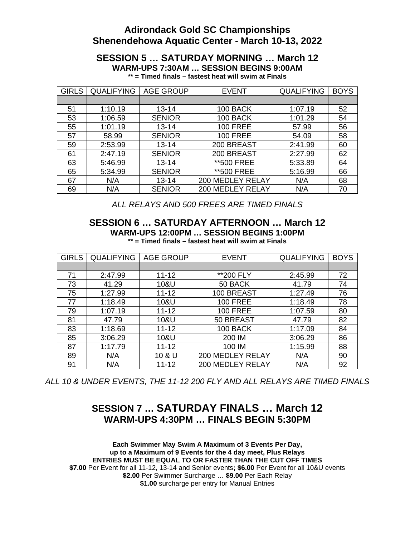# **Adirondack Gold SC Championships Shenendehowa Aquatic Center - March 10-13, 2022**

# **SESSION 5 … SATURDAY MORNING … March 12 WARM-UPS 7:30AM … SESSION BEGINS 9:00AM**

|  |  | ** = Timed finals – fastest heat will swim at Finals |  |  |  |
|--|--|------------------------------------------------------|--|--|--|
|  |  |                                                      |  |  |  |

| <b>GIRLS</b> | <b>QUALIFYING</b> | <b>AGE GROUP</b> | <b>EVENT</b>     | <b>QUALIFYING</b> | <b>BOYS</b> |
|--------------|-------------------|------------------|------------------|-------------------|-------------|
|              |                   |                  |                  |                   |             |
| 51           | 1:10.19           | $13 - 14$        | 100 BACK         | 1:07.19           | 52          |
| 53           | 1:06.59           | <b>SENIOR</b>    | 100 BACK         | 1:01.29           | 54          |
| 55           | 1:01.19           | $13 - 14$        | <b>100 FREE</b>  | 57.99             | 56          |
| 57           | 58.99             | <b>SENIOR</b>    | <b>100 FREE</b>  | 54.09             | 58          |
| 59           | 2:53.99           | $13 - 14$        | 200 BREAST       | 2:41.99           | 60          |
| 61           | 2:47.19           | <b>SENIOR</b>    | 200 BREAST       | 2:27.99           | 62          |
| 63           | 5:46.99           | $13 - 14$        | **500 FREE       | 5:33.89           | 64          |
| 65           | 5:34.99           | <b>SENIOR</b>    | **500 FREE       | 5:16.99           | 66          |
| 67           | N/A               | $13 - 14$        | 200 MEDLEY RELAY | N/A               | 68          |
| 69           | N/A               | <b>SENIOR</b>    | 200 MEDLEY RELAY | N/A               | 70          |

*ALL RELAYS AND 500 FREES ARE TIMED FINALS*

### **SESSION 6 … SATURDAY AFTERNOON … March 12 WARM-UPS 12:00PM … SESSION BEGINS 1:00PM \*\* = Timed finals – fastest heat will swim at Finals**

| <b>GIRLS</b> | <b>QUALIFYING</b> | <b>AGE GROUP</b> | <b>EVENT</b>     | <b>QUALIFYING</b> | <b>BOYS</b> |
|--------------|-------------------|------------------|------------------|-------------------|-------------|
|              |                   |                  |                  |                   |             |
| 71           | 2:47.99           | $11 - 12$        | **200 FLY        | 2:45.99           | 72          |
| 73           | 41.29             | 10&U             | 50 BACK          | 41.79             | 74          |
| 75           | 1:27.99           | $11 - 12$        | 100 BREAST       | 1:27.49           | 76          |
| 77           | 1:18.49           | 10&U             | <b>100 FREE</b>  | 1:18.49           | 78          |
| 79           | 1:07.19           | $11 - 12$        | <b>100 FREE</b>  | 1:07.59           | 80          |
| 81           | 47.79             | 10&U             | 50 BREAST        | 47.79             | 82          |
| 83           | 1:18.69           | $11 - 12$        | 100 BACK         | 1:17.09           | 84          |
| 85           | 3:06.29           | 10&U             | 200 IM           | 3:06.29           | 86          |
| 87           | 1:17.79           | $11 - 12$        | 100 IM           | 1:15.99           | 88          |
| 89           | N/A               | 10 & U           | 200 MEDLEY RELAY | N/A               | 90          |
| 91           | N/A               | $11 - 12$        | 200 MEDLEY RELAY | N/A               | 92          |

*ALL 10 & UNDER EVENTS, THE 11-12 200 FLY AND ALL RELAYS ARE TIMED FINALS*

# **SESSION 7 … SATURDAY FINALS … March 12 WARM-UPS 4:30PM … FINALS BEGIN 5:30PM**

**Each Swimmer May Swim A Maximum of 3 Events Per Day, up to a Maximum of 9 Events for the 4 day meet, Plus Relays ENTRIES MUST BE EQUAL TO OR FASTER THAN THE CUT OFF TIMES \$7.00** Per Event for all 11-12, 13-14 and Senior events**; \$6.00** Per Event for all 10&U events **\$2.00** Per Swimmer Surcharge … **\$9.00** Per Each Relay **\$1.00** surcharge per entry for Manual Entries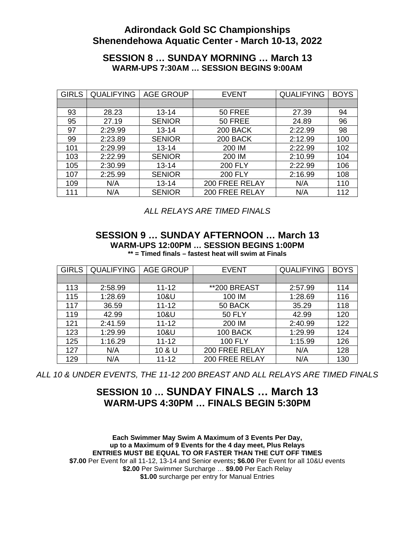# **Adirondack Gold SC Championships Shenendehowa Aquatic Center - March 10-13, 2022**

### **SESSION 8 … SUNDAY MORNING … March 13 WARM-UPS 7:30AM … SESSION BEGINS 9:00AM**

| <b>GIRLS</b> | <b>QUALIFYING</b> | <b>AGE GROUP</b> | <b>EVENT</b>          | <b>QUALIFYING</b> | <b>BOYS</b> |
|--------------|-------------------|------------------|-----------------------|-------------------|-------------|
|              |                   |                  |                       |                   |             |
| 93           | 28.23             | $13 - 14$        | 50 FREE               | 27.39             | 94          |
| 95           | 27.19             | <b>SENIOR</b>    | 50 FREE               | 24.89             | 96          |
| 97           | 2:29.99           | $13 - 14$        | 200 BACK              | 2:22.99           | 98          |
| 99           | 2:23.89           | <b>SENIOR</b>    | 200 BACK              | 2:12.99           | 100         |
| 101          | 2:29.99           | $13 - 14$        | 200 IM                | 2:22.99           | 102         |
| 103          | 2:22.99           | <b>SENIOR</b>    | 200 IM                | 2:10.99           | 104         |
| 105          | 2:30.99           | $13 - 14$        | <b>200 FLY</b>        | 2:22.99           | 106         |
| 107          | 2:25.99           | <b>SENIOR</b>    | <b>200 FLY</b>        | 2:16.99           | 108         |
| 109          | N/A               | $13 - 14$        | <b>200 FREE RELAY</b> | N/A               | 110         |
| 111          | N/A               | <b>SENIOR</b>    | <b>200 FREE RELAY</b> | N/A               | 112         |

*ALL RELAYS ARE TIMED FINALS*

### **SESSION 9 … SUNDAY AFTERNOON … March 13 WARM-UPS 12:00PM … SESSION BEGINS 1:00PM \*\* = Timed finals – fastest heat will swim at Finals**

| <b>GIRLS</b> | <b>QUALIFYING</b> | <b>AGE GROUP</b> | <b>EVENT</b>          | <b>QUALIFYING</b> | <b>BOYS</b> |
|--------------|-------------------|------------------|-----------------------|-------------------|-------------|
|              |                   |                  |                       |                   |             |
| 113          | 2:58.99           | $11 - 12$        | **200 BREAST          | 2:57.99           | 114         |
| 115          | 1:28.69           | 10&U             | 100 IM                | 1:28.69           | 116         |
| 117          | 36.59             | $11 - 12$        | 50 BACK               | 35.29             | 118         |
| 119          | 42.99             | 10&U             | <b>50 FLY</b>         | 42.99             | 120         |
| 121          | 2:41.59           | $11 - 12$        | 200 IM                | 2:40.99           | 122         |
| 123          | 1:29.99           | 10&U             | <b>100 BACK</b>       | 1:29.99           | 124         |
| 125          | 1:16.29           | $11 - 12$        | <b>100 FLY</b>        | 1:15.99           | 126         |
| 127          | N/A               | 10 & U           | <b>200 FREE RELAY</b> | N/A               | 128         |
| 129          | N/A               | 11-12            | 200 FREE RELAY        | N/A               | 130         |

*ALL 10 & UNDER EVENTS, THE 11-12 200 BREAST AND ALL RELAYS ARE TIMED FINALS*

# **SESSION 10 … SUNDAY FINALS … March 13 WARM-UPS 4:30PM … FINALS BEGIN 5:30PM**

**Each Swimmer May Swim A Maximum of 3 Events Per Day, up to a Maximum of 9 Events for the 4 day meet, Plus Relays ENTRIES MUST BE EQUAL TO OR FASTER THAN THE CUT OFF TIMES \$7.00** Per Event for all 11-12, 13-14 and Senior events**; \$6.00** Per Event for all 10&U events **\$2.00** Per Swimmer Surcharge … **\$9.00** Per Each Relay **\$1.00** surcharge per entry for Manual Entries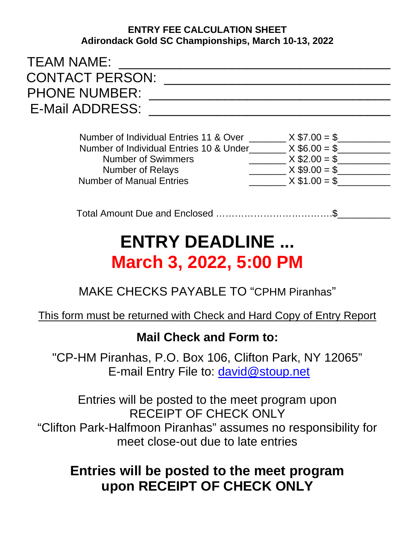# **ENTRY FEE CALCULATION SHEET Adirondack Gold SC Championships, March 10-13, 2022**

| <b>TEAM NAME:</b>      |  |
|------------------------|--|
| <b>CONTACT PERSON:</b> |  |
| <b>PHONE NUMBER:</b>   |  |
| E-Mail ADDRESS:        |  |
|                        |  |

| Number of Individual Entries 11 & Over  | $X $7.00 = $$   |
|-----------------------------------------|-----------------|
| Number of Individual Entries 10 & Under | $X$ \$6.00 = \$ |
| <b>Number of Swimmers</b>               | $X$ \$2.00 = \$ |
| <b>Number of Relays</b>                 | $X$ \$9.00 = \$ |
| <b>Number of Manual Entries</b>         | $X$ \$1.00 = \$ |

Total Amount Due and Enclosed ……………………………….\$\_\_\_\_\_\_\_\_\_\_

# **ENTRY DEADLINE ... March 3, 2022, 5:00 PM**

# MAKE CHECKS PAYABLE TO "CPHM Piranhas"

# This form must be returned with Check and Hard Copy of Entry Report

# **Mail Check and Form to:**

"CP-HM Piranhas, P.O. Box 106, Clifton Park, NY 12065" E-mail Entry File to: [david@stoup.net](mailto:david@stoup.net)

Entries will be posted to the meet program upon RECEIPT OF CHECK ONLY "Clifton Park-Halfmoon Piranhas" assumes no responsibility for meet close-out due to late entries

# **Entries will be posted to the meet program upon RECEIPT OF CHECK ONLY**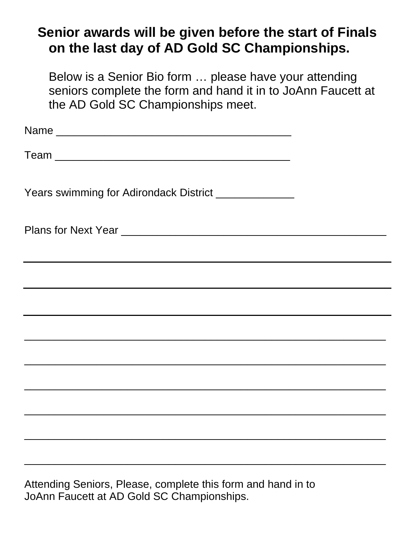# **Senior awards will be given before the start of Finals on the last day of AD Gold SC Championships.**

Below is a Senior Bio form … please have your attending seniors complete the form and hand it in to JoAnn Faucett at the AD Gold SC Championships meet.

| Years swimming for Adirondack District ______________                                                                                                                                                |  |
|------------------------------------------------------------------------------------------------------------------------------------------------------------------------------------------------------|--|
|                                                                                                                                                                                                      |  |
| ,我们也不会有什么。""我们的人,我们也不会有什么?""我们的人,我们也不会有什么?""我们的人,我们也不会有什么?""我们的人,我们也不会有什么?""我们的人<br>and the control of the control of the control of the control of the control of the control of the control of the |  |
|                                                                                                                                                                                                      |  |
|                                                                                                                                                                                                      |  |
|                                                                                                                                                                                                      |  |
|                                                                                                                                                                                                      |  |
|                                                                                                                                                                                                      |  |
|                                                                                                                                                                                                      |  |
| Attending Seniors, Please, complete this form and hand in to                                                                                                                                         |  |

JoAnn Faucett at AD Gold SC Championships.